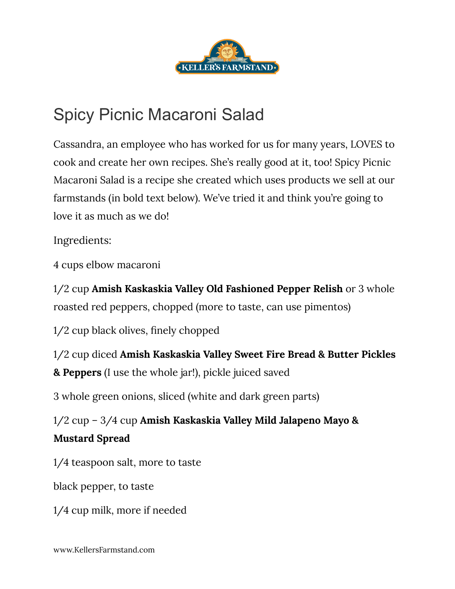

## Spicy Picnic Macaroni Salad

Cassandra, an employee who has worked for us for many years, LOVES to cook and create her own recipes. She's really good at it, too! Spicy Picnic Macaroni Salad is a recipe she created which uses products we sell at our farmstands (in bold text below). We've tried it and think you're going to love it as much as we do!

Ingredients:

4 cups elbow macaroni

1/2 cup **Amish Kaskaskia Valley Old Fashioned Pepper Relish** or 3 whole roasted red peppers, chopped (more to taste, can use pimentos)

1/2 cup black olives, finely chopped

1/2 cup diced **Amish Kaskaskia Valley Sweet Fire Bread & Butter Pickles & Peppers** (I use the whole jar!), pickle juiced saved

3 whole green onions, sliced (white and dark green parts)

1/2 cup – 3/4 cup **Amish Kaskaskia Valley Mild Jalapeno Mayo & Mustard Spread**

1/4 teaspoon salt, more to taste

black pepper, to taste

1/4 cup milk, more if needed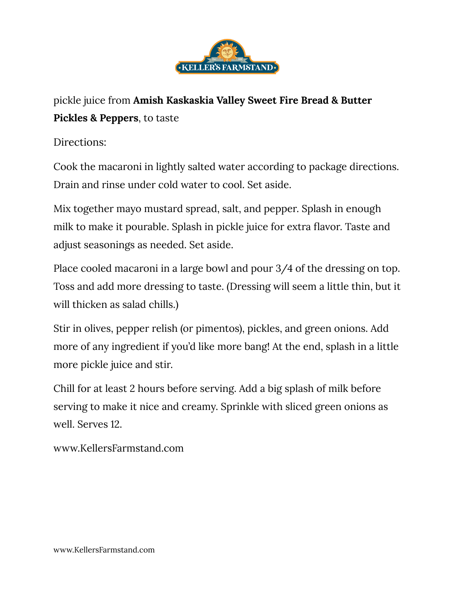

## pickle juice from **Amish Kaskaskia Valley Sweet Fire Bread & Butter Pickles & Peppers**, to taste

Directions:

Cook the macaroni in lightly salted water according to package directions. Drain and rinse under cold water to cool. Set aside.

Mix together mayo mustard spread, salt, and pepper. Splash in enough milk to make it pourable. Splash in pickle juice for extra flavor. Taste and adjust seasonings as needed. Set aside.

Place cooled macaroni in a large bowl and pour 3/4 of the dressing on top. Toss and add more dressing to taste. (Dressing will seem a little thin, but it will thicken as salad chills.)

Stir in olives, pepper relish (or pimentos), pickles, and green onions. Add more of any ingredient if you'd like more bang! At the end, splash in a little more pickle juice and stir.

Chill for at least 2 hours before serving. Add a big splash of milk before serving to make it nice and creamy. Sprinkle with sliced green onions as well. Serves 12.

www.KellersFarmstand.com